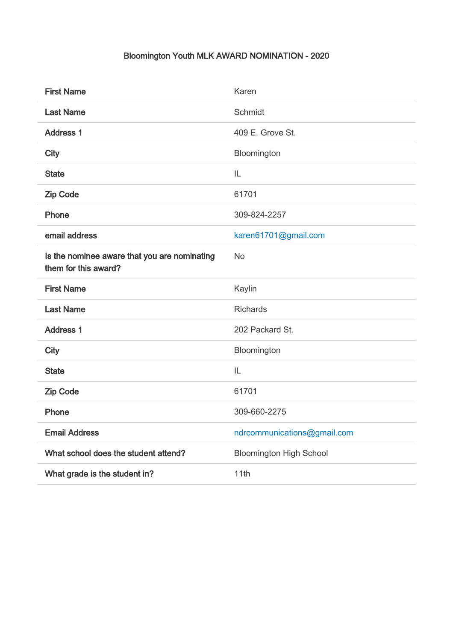## Bloomington Youth MLK AWARD NOMINATION - 2020

| <b>First Name</b>                                                    | Karen                          |
|----------------------------------------------------------------------|--------------------------------|
| <b>Last Name</b>                                                     | Schmidt                        |
| <b>Address 1</b>                                                     | 409 E. Grove St.               |
| <b>City</b>                                                          | Bloomington                    |
| <b>State</b>                                                         | IL                             |
| <b>Zip Code</b>                                                      | 61701                          |
| Phone                                                                | 309-824-2257                   |
| email address                                                        | karen61701@gmail.com           |
| Is the nominee aware that you are nominating<br>them for this award? | <b>No</b>                      |
| <b>First Name</b>                                                    | Kaylin                         |
| <b>Last Name</b>                                                     | <b>Richards</b>                |
| <b>Address 1</b>                                                     | 202 Packard St.                |
| <b>City</b>                                                          | Bloomington                    |
| <b>State</b>                                                         | IL                             |
| <b>Zip Code</b>                                                      | 61701                          |
| Phone                                                                | 309-660-2275                   |
| <b>Email Address</b>                                                 | ndrcommunications@gmail.com    |
| What school does the student attend?                                 | <b>Bloomington High School</b> |
| What grade is the student in?                                        | 11th                           |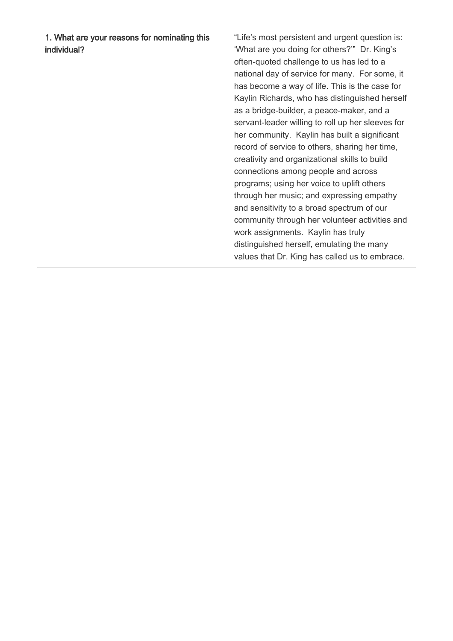1. What are your reasons for nominating this individual?

"Life's most persistent and urgent question is: 'What are you doing for others?'" Dr. King's often-quoted challenge to us has led to a national day of service for many. For some, it has become a way of life. This is the case for Kaylin Richards, who has distinguished herself as a bridge-builder, a peace-maker, and a servant-leader willing to roll up her sleeves for her community. Kaylin has built a significant record of service to others, sharing her time, creativity and organizational skills to build connections among people and across programs; using her voice to uplift others through her music; and expressing empathy and sensitivity to a broad spectrum of our community through her volunteer activities and work assignments. Kaylin has truly distinguished herself, emulating the many values that Dr. King has called us to embrace.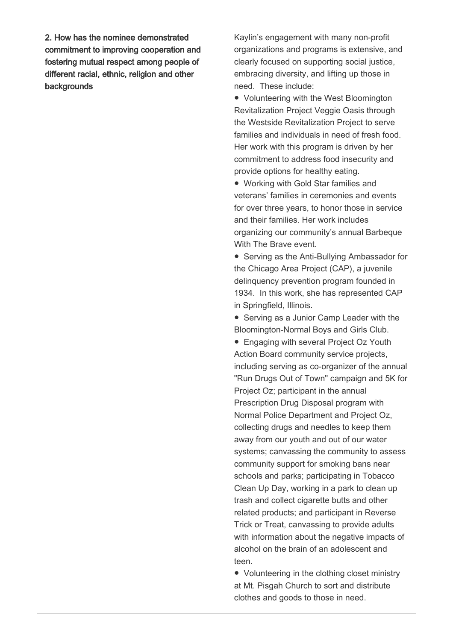2. How has the nominee demonstrated commitment to improving cooperation and fostering mutual respect among people of different racial, ethnic, religion and other backgrounds

Kaylin's engagement with many non-profit organizations and programs is extensive, and clearly focused on supporting social justice, embracing diversity, and lifting up those in need. These include:

● Volunteering with the West Bloomington Revitalization Project Veggie Oasis through the Westside Revitalization Project to serve families and individuals in need of fresh food. Her work with this program is driven by her commitment to address food insecurity and provide options for healthy eating.

● Working with Gold Star families and veterans' families in ceremonies and events for over three years, to honor those in service and their families. Her work includes organizing our community's annual Barbeque With The Brave event.

● Serving as the Anti-Bullying Ambassador for the Chicago Area Project (CAP), a juvenile delinquency prevention program founded in 1934. In this work, she has represented CAP in Springfield, Illinois.

● Serving as a Junior Camp Leader with the Bloomington-Normal Boys and Girls Club.

● Engaging with several Project Oz Youth Action Board community service projects, including serving as co-organizer of the annual "Run Drugs Out of Town" campaign and 5K for Project Oz; participant in the annual Prescription Drug Disposal program with Normal Police Department and Project Oz, collecting drugs and needles to keep them away from our youth and out of our water systems; canvassing the community to assess community support for smoking bans near schools and parks; participating in Tobacco Clean Up Day, working in a park to clean up trash and collect cigarette butts and other related products; and participant in Reverse Trick or Treat, canvassing to provide adults with information about the negative impacts of alcohol on the brain of an adolescent and teen.

● Volunteering in the clothing closet ministry at Mt. Pisgah Church to sort and distribute clothes and goods to those in need.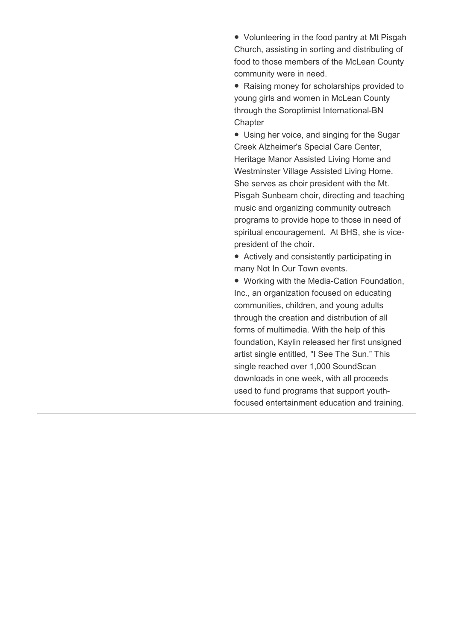● Volunteering in the food pantry at Mt Pisgah Church, assisting in sorting and distributing of food to those members of the McLean County community were in need.

● Raising money for scholarships provided to young girls and women in McLean County through the Soroptimist International-BN **Chapter** 

● Using her voice, and singing for the Sugar Creek Alzheimer's Special Care Center, Heritage Manor Assisted Living Home and Westminster Village Assisted Living Home. She serves as choir president with the Mt. Pisgah Sunbeam choir, directing and teaching music and organizing community outreach programs to provide hope to those in need of spiritual encouragement. At BHS, she is vicepresident of the choir.

● Actively and consistently participating in many Not In Our Town events.

● Working with the Media-Cation Foundation, Inc., an organization focused on educating communities, children, and young adults through the creation and distribution of all forms of multimedia. With the help of this foundation, Kaylin released her first unsigned artist single entitled, "I See The Sun." This single reached over 1,000 SoundScan downloads in one week, with all proceeds used to fund programs that support youthfocused entertainment education and training.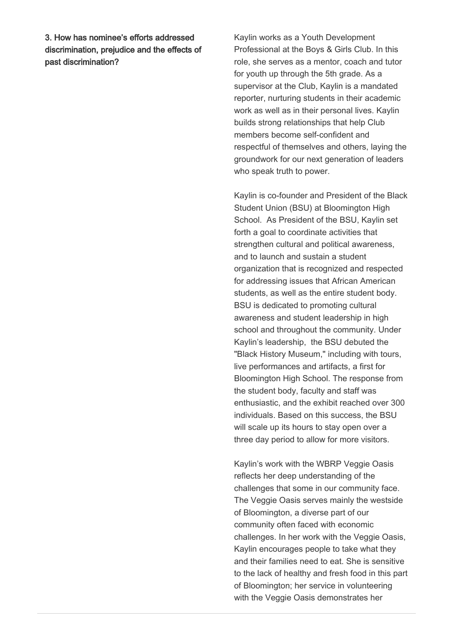3. How has nominee's efforts addressed discrimination, prejudice and the effects of past discrimination?

Kaylin works as a Youth Development Professional at the Boys & Girls Club. In this role, she serves as a mentor, coach and tutor for youth up through the 5th grade. As a supervisor at the Club, Kaylin is a mandated reporter, nurturing students in their academic work as well as in their personal lives. Kaylin builds strong relationships that help Club members become self-confident and respectful of themselves and others, laying the groundwork for our next generation of leaders who speak truth to power.

Kaylin is co-founder and President of the Black Student Union (BSU) at Bloomington High School. As President of the BSU, Kaylin set forth a goal to coordinate activities that strengthen cultural and political awareness, and to launch and sustain a student organization that is recognized and respected for addressing issues that African American students, as well as the entire student body. BSU is dedicated to promoting cultural awareness and student leadership in high school and throughout the community. Under Kaylin's leadership, the BSU debuted the "Black History Museum," including with tours, live performances and artifacts, a first for Bloomington High School. The response from the student body, faculty and staff was enthusiastic, and the exhibit reached over 300 individuals. Based on this success, the BSU will scale up its hours to stay open over a three day period to allow for more visitors.

Kaylin's work with the WBRP Veggie Oasis reflects her deep understanding of the challenges that some in our community face. The Veggie Oasis serves mainly the westside of Bloomington, a diverse part of our community often faced with economic challenges. In her work with the Veggie Oasis, Kaylin encourages people to take what they and their families need to eat. She is sensitive to the lack of healthy and fresh food in this part of Bloomington; her service in volunteering with the Veggie Oasis demonstrates her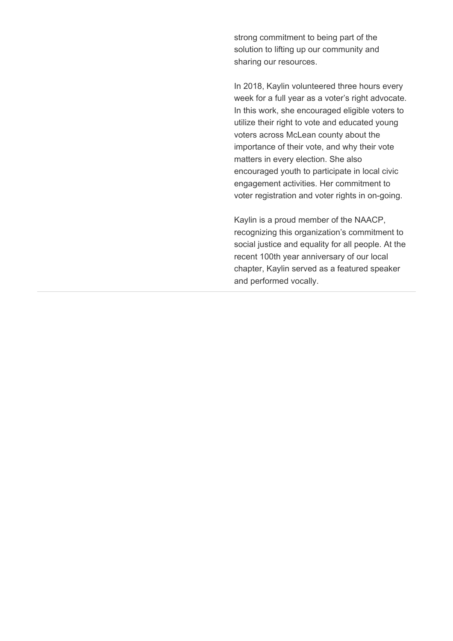strong commitment to being part of the solution to lifting up our community and sharing our resources.

In 2018, Kaylin volunteered three hours every week for a full year as a voter's right advocate. In this work, she encouraged eligible voters to utilize their right to vote and educated young voters across McLean county about the importance of their vote, and why their vote matters in every election. She also encouraged youth to participate in local civic engagement activities. Her commitment to voter registration and voter rights in on-going.

Kaylin is a proud member of the NAACP, recognizing this organization's commitment to social justice and equality for all people. At the recent 100th year anniversary of our local chapter, Kaylin served as a featured speaker and performed vocally.